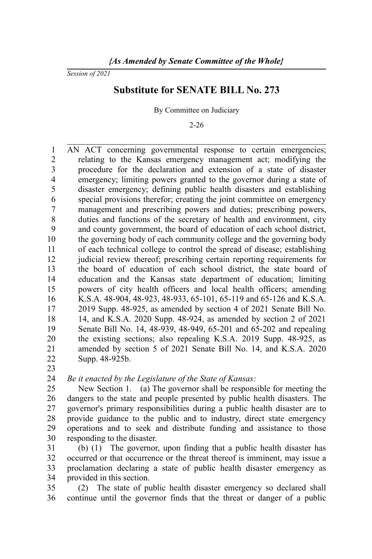*Session of 2021*

## **Substitute for SENATE BILL No. 273**

By Committee on Judiciary

2-26

AN ACT concerning governmental response to certain emergencies; relating to the Kansas emergency management act; modifying the procedure for the declaration and extension of a state of disaster emergency; limiting powers granted to the governor during a state of disaster emergency; defining public health disasters and establishing special provisions therefor; creating the joint committee on emergency management and prescribing powers and duties; prescribing powers, duties and functions of the secretary of health and environment, city and county government, the board of education of each school district, the governing body of each community college and the governing body of each technical college to control the spread of disease; establishing judicial review thereof; prescribing certain reporting requirements for the board of education of each school district, the state board of education and the Kansas state department of education; limiting powers of city health officers and local health officers; amending K.S.A. 48-904, 48-923, 48-933, 65-101, 65-119 and 65-126 and K.S.A. 2019 Supp. 48-925, as amended by section 4 of 2021 Senate Bill No. 14, and K.S.A. 2020 Supp. 48-924, as amended by section 2 of 2021 Senate Bill No. 14, 48-939, 48-949, 65-201 and 65-202 and repealing the existing sections; also repealing K.S.A. 2019 Supp. 48-925, as amended by section 5 of 2021 Senate Bill No. 14, and K.S.A. 2020 Supp. 48-925b. 1 2 3 4 5 6 7 8 9 10 11 12 13 14 15 16 17 18 19 20 21 22

23

*Be it enacted by the Legislature of the State of Kansas:*  $24$ 

New Section 1. (a) The governor shall be responsible for meeting the dangers to the state and people presented by public health disasters. The governor's primary responsibilities during a public health disaster are to provide guidance to the public and to industry, direct state emergency operations and to seek and distribute funding and assistance to those responding to the disaster. 25 26 27 28 29 30

(b) (1) The governor, upon finding that a public health disaster has occurred or that occurrence or the threat thereof is imminent, may issue a proclamation declaring a state of public health disaster emergency as provided in this section. 31 32 33 34

(2) The state of public health disaster emergency so declared shall continue until the governor finds that the threat or danger of a public 35 36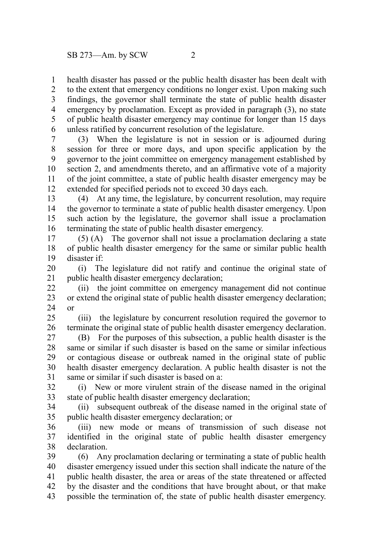health disaster has passed or the public health disaster has been dealt with to the extent that emergency conditions no longer exist. Upon making such findings, the governor shall terminate the state of public health disaster emergency by proclamation. Except as provided in paragraph (3), no state of public health disaster emergency may continue for longer than 15 days unless ratified by concurrent resolution of the legislature. 1 2 3 4 5 6

(3) When the legislature is not in session or is adjourned during session for three or more days, and upon specific application by the governor to the joint committee on emergency management established by section 2, and amendments thereto, and an affirmative vote of a majority of the joint committee, a state of public health disaster emergency may be extended for specified periods not to exceed 30 days each. 7 8 9 10 11 12

(4) At any time, the legislature, by concurrent resolution, may require the governor to terminate a state of public health disaster emergency. Upon such action by the legislature, the governor shall issue a proclamation terminating the state of public health disaster emergency. 13 14 15 16

(5) (A) The governor shall not issue a proclamation declaring a state of public health disaster emergency for the same or similar public health disaster if: 17 18 19

(i) The legislature did not ratify and continue the original state of public health disaster emergency declaration; 20 21

(ii) the joint committee on emergency management did not continue or extend the original state of public health disaster emergency declaration; or 22 23 24

(iii) the legislature by concurrent resolution required the governor to terminate the original state of public health disaster emergency declaration. 25 26

(B) For the purposes of this subsection, a public health disaster is the same or similar if such disaster is based on the same or similar infectious or contagious disease or outbreak named in the original state of public health disaster emergency declaration. A public health disaster is not the same or similar if such disaster is based on a: 27 28 29 30 31

(i) New or more virulent strain of the disease named in the original state of public health disaster emergency declaration; 32 33

(ii) subsequent outbreak of the disease named in the original state of public health disaster emergency declaration; or 34 35

(iii) new mode or means of transmission of such disease not identified in the original state of public health disaster emergency declaration. 36 37 38

(6) Any proclamation declaring or terminating a state of public health disaster emergency issued under this section shall indicate the nature of the public health disaster, the area or areas of the state threatened or affected by the disaster and the conditions that have brought about, or that make possible the termination of, the state of public health disaster emergency. 39 40 41 42 43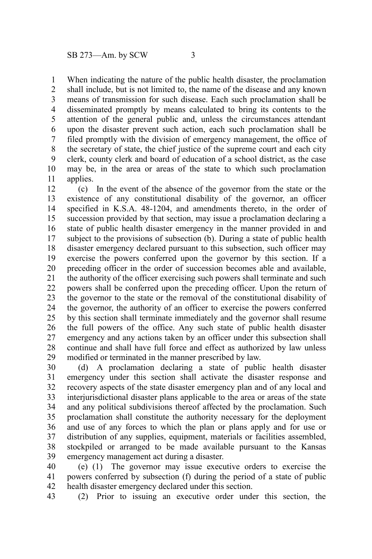When indicating the nature of the public health disaster, the proclamation shall include, but is not limited to, the name of the disease and any known means of transmission for such disease. Each such proclamation shall be disseminated promptly by means calculated to bring its contents to the attention of the general public and, unless the circumstances attendant upon the disaster prevent such action, each such proclamation shall be filed promptly with the division of emergency management, the office of the secretary of state, the chief justice of the supreme court and each city 1 2 3 4 5 6 7 8

clerk, county clerk and board of education of a school district, as the case may be, in the area or areas of the state to which such proclamation applies. 9 10 11

(c) In the event of the absence of the governor from the state or the existence of any constitutional disability of the governor, an officer specified in K.S.A. 48-1204, and amendments thereto, in the order of succession provided by that section, may issue a proclamation declaring a state of public health disaster emergency in the manner provided in and subject to the provisions of subsection (b). During a state of public health disaster emergency declared pursuant to this subsection, such officer may exercise the powers conferred upon the governor by this section. If a preceding officer in the order of succession becomes able and available, the authority of the officer exercising such powers shall terminate and such powers shall be conferred upon the preceding officer. Upon the return of the governor to the state or the removal of the constitutional disability of the governor, the authority of an officer to exercise the powers conferred by this section shall terminate immediately and the governor shall resume the full powers of the office. Any such state of public health disaster emergency and any actions taken by an officer under this subsection shall continue and shall have full force and effect as authorized by law unless modified or terminated in the manner prescribed by law. 12 13 14 15 16 17 18 19 20 21 22 23 24 25 26 27 28 29

(d) A proclamation declaring a state of public health disaster emergency under this section shall activate the disaster response and recovery aspects of the state disaster emergency plan and of any local and interjurisdictional disaster plans applicable to the area or areas of the state and any political subdivisions thereof affected by the proclamation. Such proclamation shall constitute the authority necessary for the deployment and use of any forces to which the plan or plans apply and for use or distribution of any supplies, equipment, materials or facilities assembled, stockpiled or arranged to be made available pursuant to the Kansas emergency management act during a disaster. 30 31 32 33 34 35 36 37 38 39

(e) (1) The governor may issue executive orders to exercise the powers conferred by subsection (f) during the period of a state of public health disaster emergency declared under this section. 40 41 42

(2) Prior to issuing an executive order under this section, the 43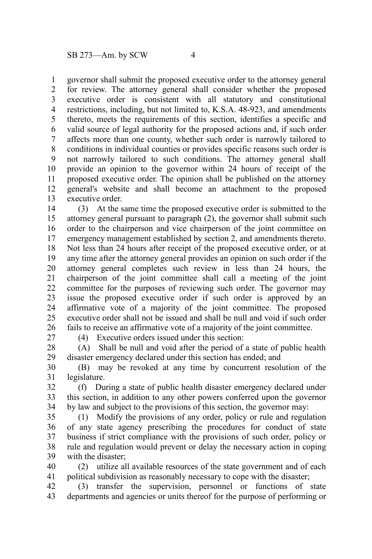governor shall submit the proposed executive order to the attorney general for review. The attorney general shall consider whether the proposed executive order is consistent with all statutory and constitutional restrictions, including, but not limited to, K.S.A. 48-923, and amendments thereto, meets the requirements of this section, identifies a specific and valid source of legal authority for the proposed actions and, if such order affects more than one county, whether such order is narrowly tailored to conditions in individual counties or provides specific reasons such order is not narrowly tailored to such conditions. The attorney general shall provide an opinion to the governor within 24 hours of receipt of the proposed executive order. The opinion shall be published on the attorney general's website and shall become an attachment to the proposed executive order. 1 2 3 4 5 6 7 8 9 10 11 12 13

(3) At the same time the proposed executive order is submitted to the attorney general pursuant to paragraph (2), the governor shall submit such order to the chairperson and vice chairperson of the joint committee on emergency management established by section 2, and amendments thereto. Not less than 24 hours after receipt of the proposed executive order, or at any time after the attorney general provides an opinion on such order if the attorney general completes such review in less than 24 hours, the chairperson of the joint committee shall call a meeting of the joint committee for the purposes of reviewing such order. The governor may issue the proposed executive order if such order is approved by an affirmative vote of a majority of the joint committee. The proposed executive order shall not be issued and shall be null and void if such order fails to receive an affirmative vote of a majority of the joint committee. 14 15 16 17 18 19 20 21 22 23 24 25 26

27

(4) Executive orders issued under this section:

(A) Shall be null and void after the period of a state of public health disaster emergency declared under this section has ended; and 28 29

(B) may be revoked at any time by concurrent resolution of the legislature. 30 31

(f) During a state of public health disaster emergency declared under this section, in addition to any other powers conferred upon the governor by law and subject to the provisions of this section, the governor may: 32 33 34

(1) Modify the provisions of any order, policy or rule and regulation of any state agency prescribing the procedures for conduct of state business if strict compliance with the provisions of such order, policy or rule and regulation would prevent or delay the necessary action in coping with the disaster: 35 36 37 38 39

(2) utilize all available resources of the state government and of each political subdivision as reasonably necessary to cope with the disaster; 40 41

(3) transfer the supervision, personnel or functions of state departments and agencies or units thereof for the purpose of performing or 42 43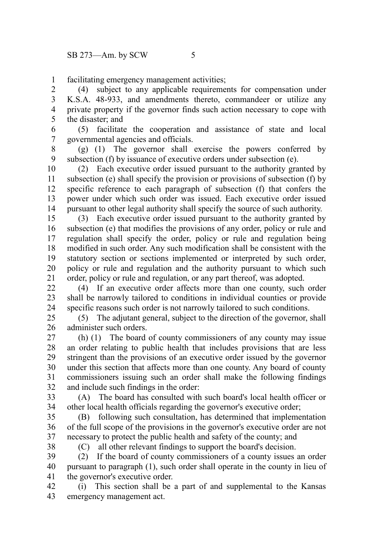facilitating emergency management activities; 1

(4) subject to any applicable requirements for compensation under K.S.A. 48-933, and amendments thereto, commandeer or utilize any private property if the governor finds such action necessary to cope with the disaster; and 2 3 4 5

(5) facilitate the cooperation and assistance of state and local governmental agencies and officials. 6 7

(g) (1) The governor shall exercise the powers conferred by subsection (f) by issuance of executive orders under subsection (e). 8 9

(2) Each executive order issued pursuant to the authority granted by subsection (e) shall specify the provision or provisions of subsection (f) by specific reference to each paragraph of subsection (f) that confers the power under which such order was issued. Each executive order issued pursuant to other legal authority shall specify the source of such authority. 10 11 12 13 14

(3) Each executive order issued pursuant to the authority granted by subsection (e) that modifies the provisions of any order, policy or rule and regulation shall specify the order, policy or rule and regulation being modified in such order. Any such modification shall be consistent with the statutory section or sections implemented or interpreted by such order, policy or rule and regulation and the authority pursuant to which such order, policy or rule and regulation, or any part thereof, was adopted. 15 16 17 18 19 20 21

(4) If an executive order affects more than one county, such order shall be narrowly tailored to conditions in individual counties or provide specific reasons such order is not narrowly tailored to such conditions. 22 23 24

(5) The adjutant general, subject to the direction of the governor, shall administer such orders. 25 26

(h) (1) The board of county commissioners of any county may issue an order relating to public health that includes provisions that are less stringent than the provisions of an executive order issued by the governor under this section that affects more than one county. Any board of county commissioners issuing such an order shall make the following findings and include such findings in the order: 27 28 29 30 31 32

(A) The board has consulted with such board's local health officer or other local health officials regarding the governor's executive order; 33 34

(B) following such consultation, has determined that implementation of the full scope of the provisions in the governor's executive order are not necessary to protect the public health and safety of the county; and 35 36 37

38

(C) all other relevant findings to support the board's decision.

(2) If the board of county commissioners of a county issues an order pursuant to paragraph (1), such order shall operate in the county in lieu of the governor's executive order. 39 40 41

(i) This section shall be a part of and supplemental to the Kansas emergency management act. 42 43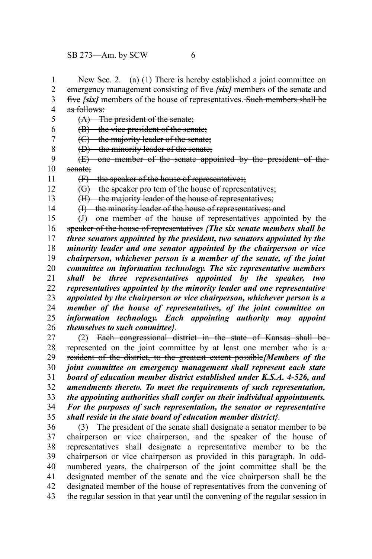1

New Sec. 2. (a) (1) There is hereby established a joint committee on

emergency management consisting of five  $\{six\}$  members of the senate and five  $\{six\}$  members of the house of representatives. Such members shall be as follows: (A) The president of the senate; (B) the vice president of the senate; (C) the majority leader of the senate; (D) the minority leader of the senate; (E) one member of the senate appointed by the president of the senate; (F) the speaker of the house of representatives; (G) the speaker pro tem of the house of representatives; (H) the majority leader of the house of representatives; (I) the minority leader of the house of representatives; and (J) one member of the house of representatives appointed by the speaker of the house of representatives *{The six senate members shall be three senators appointed by the president, two senators appointed by the minority leader and one senator appointed by the chairperson or vice chairperson, whichever person is a member of the senate, of the joint committee on information technology. The six representative members shall be three representatives appointed by the speaker, two representatives appointed by the minority leader and one representative appointed by the chairperson or vice chairperson, whichever person is a member of the house of representatives, of the joint committee on information technology. Each appointing authority may appoint themselves to such committee}*. (2) Each congressional district in the state of Kansas shall be represented on the joint committee by at least one member who is aresident of the district, to the greatest extent possible*{Members of the joint committee on emergency management shall represent each state board of education member district established under K.S.A. 4-526, and amendments thereto. To meet the requirements of such representation, the appointing authorities shall confer on their individual appointments. For the purposes of such representation, the senator or representative shall reside in the state board of education member district}*. 2 3 4 5 6 7 8 9 10 11 12 13 14 15 16 17 18 19 20 21 22 23 24 25 26 27 28 29 30 31 32 33 34 35

(3) The president of the senate shall designate a senator member to be chairperson or vice chairperson, and the speaker of the house of representatives shall designate a representative member to be the chairperson or vice chairperson as provided in this paragraph. In oddnumbered years, the chairperson of the joint committee shall be the designated member of the senate and the vice chairperson shall be the designated member of the house of representatives from the convening of the regular session in that year until the convening of the regular session in 36 37 38 39 40 41 42 43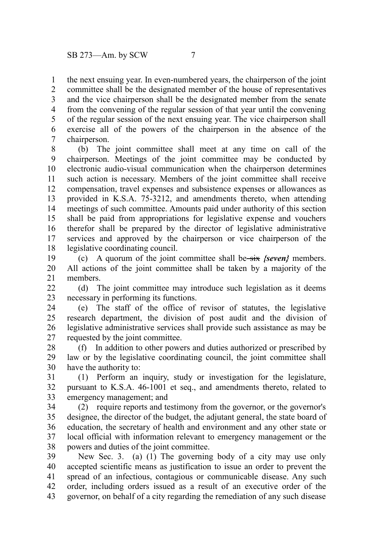the next ensuing year. In even-numbered years, the chairperson of the joint committee shall be the designated member of the house of representatives and the vice chairperson shall be the designated member from the senate from the convening of the regular session of that year until the convening of the regular session of the next ensuing year. The vice chairperson shall exercise all of the powers of the chairperson in the absence of the chairperson. 1 2 3 4 5 6 7

(b) The joint committee shall meet at any time on call of the chairperson. Meetings of the joint committee may be conducted by electronic audio-visual communication when the chairperson determines such action is necessary. Members of the joint committee shall receive compensation, travel expenses and subsistence expenses or allowances as provided in K.S.A. 75-3212, and amendments thereto, when attending meetings of such committee. Amounts paid under authority of this section shall be paid from appropriations for legislative expense and vouchers therefor shall be prepared by the director of legislative administrative services and approved by the chairperson or vice chairperson of the legislative coordinating council. 8 9 10 11 12 13 14 15 16 17 18

(c) A quorum of the joint committee shall be-six *{seven}* members. All actions of the joint committee shall be taken by a majority of the members. 19 20 21

(d) The joint committee may introduce such legislation as it deems necessary in performing its functions.  $22$ 23

(e) The staff of the office of revisor of statutes, the legislative research department, the division of post audit and the division of legislative administrative services shall provide such assistance as may be requested by the joint committee. 24 25 26 27

(f) In addition to other powers and duties authorized or prescribed by law or by the legislative coordinating council, the joint committee shall have the authority to: 28 29 30

(1) Perform an inquiry, study or investigation for the legislature, pursuant to K.S.A. 46-1001 et seq., and amendments thereto, related to emergency management; and 31 32 33

(2) require reports and testimony from the governor, or the governor's designee, the director of the budget, the adjutant general, the state board of education, the secretary of health and environment and any other state or local official with information relevant to emergency management or the powers and duties of the joint committee. 34 35 36 37 38

New Sec. 3. (a) (1) The governing body of a city may use only accepted scientific means as justification to issue an order to prevent the spread of an infectious, contagious or communicable disease. Any such order, including orders issued as a result of an executive order of the governor, on behalf of a city regarding the remediation of any such disease 39 40 41 42 43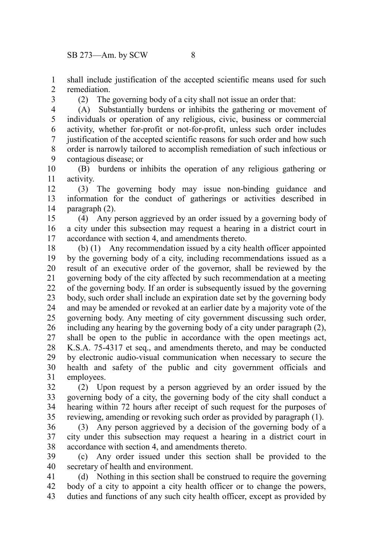$SB$  273—Am. by SCW  $8$ 

shall include justification of the accepted scientific means used for such remediation. 1 2

3

(2) The governing body of a city shall not issue an order that:

(A) Substantially burdens or inhibits the gathering or movement of individuals or operation of any religious, civic, business or commercial activity, whether for-profit or not-for-profit, unless such order includes justification of the accepted scientific reasons for such order and how such order is narrowly tailored to accomplish remediation of such infectious or contagious disease; or 4 5 6 7 8 9

(B) burdens or inhibits the operation of any religious gathering or activity. 10 11

(3) The governing body may issue non-binding guidance and information for the conduct of gatherings or activities described in paragraph (2). 12 13 14

(4) Any person aggrieved by an order issued by a governing body of a city under this subsection may request a hearing in a district court in accordance with section 4, and amendments thereto. 15 16 17

(b) (1) Any recommendation issued by a city health officer appointed by the governing body of a city, including recommendations issued as a result of an executive order of the governor, shall be reviewed by the governing body of the city affected by such recommendation at a meeting of the governing body. If an order is subsequently issued by the governing body, such order shall include an expiration date set by the governing body and may be amended or revoked at an earlier date by a majority vote of the governing body. Any meeting of city government discussing such order, including any hearing by the governing body of a city under paragraph (2), shall be open to the public in accordance with the open meetings act, K.S.A. 75-4317 et seq., and amendments thereto, and may be conducted by electronic audio-visual communication when necessary to secure the health and safety of the public and city government officials and employees. 18 19 20 21 22 23 24 25 26 27 28 29 30 31

(2) Upon request by a person aggrieved by an order issued by the governing body of a city, the governing body of the city shall conduct a hearing within 72 hours after receipt of such request for the purposes of reviewing, amending or revoking such order as provided by paragraph (1). 32 33 34 35

(3) Any person aggrieved by a decision of the governing body of a city under this subsection may request a hearing in a district court in accordance with section 4, and amendments thereto. 36 37 38

(c) Any order issued under this section shall be provided to the secretary of health and environment. 39 40

(d) Nothing in this section shall be construed to require the governing body of a city to appoint a city health officer or to change the powers, duties and functions of any such city health officer, except as provided by 41 42 43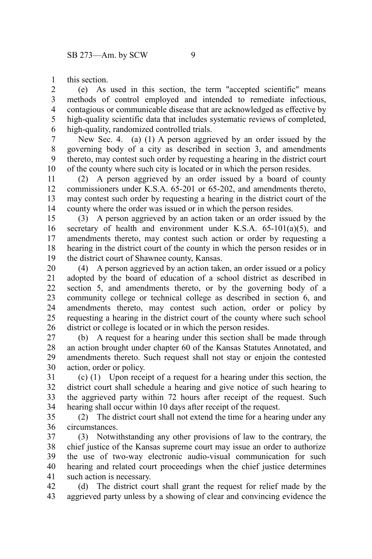this section. 1

(e) As used in this section, the term "accepted scientific" means methods of control employed and intended to remediate infectious, contagious or communicable disease that are acknowledged as effective by high-quality scientific data that includes systematic reviews of completed, high-quality, randomized controlled trials. 2 3 4 5 6

New Sec. 4. (a) (1) A person aggrieved by an order issued by the governing body of a city as described in section 3, and amendments thereto, may contest such order by requesting a hearing in the district court of the county where such city is located or in which the person resides. 7 8 9 10

(2) A person aggrieved by an order issued by a board of county commissioners under K.S.A. 65-201 or 65-202, and amendments thereto, may contest such order by requesting a hearing in the district court of the county where the order was issued or in which the person resides. 11 12 13 14

(3) A person aggrieved by an action taken or an order issued by the secretary of health and environment under K.S.A. 65-101(a)(5), and amendments thereto, may contest such action or order by requesting a hearing in the district court of the county in which the person resides or in the district court of Shawnee county, Kansas. 15 16 17 18 19

(4) A person aggrieved by an action taken, an order issued or a policy adopted by the board of education of a school district as described in section 5, and amendments thereto, or by the governing body of a community college or technical college as described in section 6, and amendments thereto, may contest such action, order or policy by requesting a hearing in the district court of the county where such school district or college is located or in which the person resides. 20 21 22 23 24 25 26

(b) A request for a hearing under this section shall be made through an action brought under chapter 60 of the Kansas Statutes Annotated, and amendments thereto. Such request shall not stay or enjoin the contested action, order or policy. 27 28 29 30

(c) (1) Upon receipt of a request for a hearing under this section, the district court shall schedule a hearing and give notice of such hearing to the aggrieved party within 72 hours after receipt of the request. Such hearing shall occur within 10 days after receipt of the request. 31 32 33 34

(2) The district court shall not extend the time for a hearing under any circumstances. 35 36

(3) Notwithstanding any other provisions of law to the contrary, the chief justice of the Kansas supreme court may issue an order to authorize the use of two-way electronic audio-visual communication for such hearing and related court proceedings when the chief justice determines such action is necessary. 37 38 39 40 41

(d) The district court shall grant the request for relief made by the aggrieved party unless by a showing of clear and convincing evidence the 42 43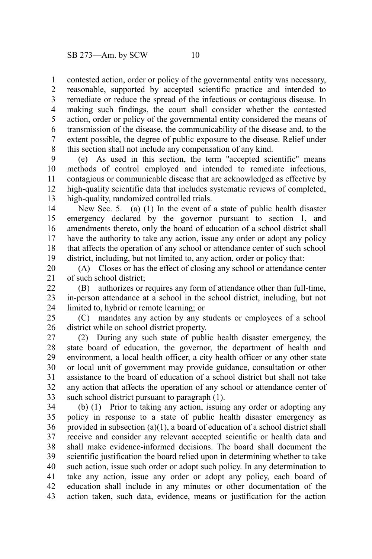contested action, order or policy of the governmental entity was necessary, reasonable, supported by accepted scientific practice and intended to remediate or reduce the spread of the infectious or contagious disease. In making such findings, the court shall consider whether the contested action, order or policy of the governmental entity considered the means of transmission of the disease, the communicability of the disease and, to the extent possible, the degree of public exposure to the disease. Relief under this section shall not include any compensation of any kind. 1 2 3 4 5 6 7 8

(e) As used in this section, the term "accepted scientific" means methods of control employed and intended to remediate infectious, contagious or communicable disease that are acknowledged as effective by high-quality scientific data that includes systematic reviews of completed, high-quality, randomized controlled trials. 9 10 11 12 13

New Sec. 5. (a) (1) In the event of a state of public health disaster emergency declared by the governor pursuant to section 1, and amendments thereto, only the board of education of a school district shall have the authority to take any action, issue any order or adopt any policy that affects the operation of any school or attendance center of such school district, including, but not limited to, any action, order or policy that: 14 15 16 17 18 19

(A) Closes or has the effect of closing any school or attendance center of such school district; 20 21

(B) authorizes or requires any form of attendance other than full-time, in-person attendance at a school in the school district, including, but not limited to, hybrid or remote learning; or 22 23 24

(C) mandates any action by any students or employees of a school district while on school district property. 25 26

(2) During any such state of public health disaster emergency, the state board of education, the governor, the department of health and environment, a local health officer, a city health officer or any other state or local unit of government may provide guidance, consultation or other assistance to the board of education of a school district but shall not take any action that affects the operation of any school or attendance center of such school district pursuant to paragraph  $(1)$ . 27 28 29 30 31 32 33

(b) (1) Prior to taking any action, issuing any order or adopting any policy in response to a state of public health disaster emergency as provided in subsection (a)(1), a board of education of a school district shall receive and consider any relevant accepted scientific or health data and shall make evidence-informed decisions. The board shall document the scientific justification the board relied upon in determining whether to take such action, issue such order or adopt such policy. In any determination to take any action, issue any order or adopt any policy, each board of education shall include in any minutes or other documentation of the action taken, such data, evidence, means or justification for the action 34 35 36 37 38 39 40 41 42 43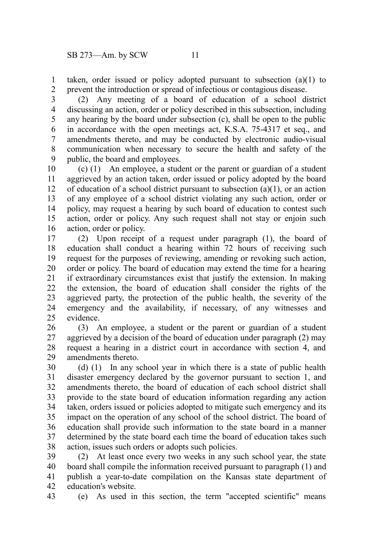taken, order issued or policy adopted pursuant to subsection (a)(1) to prevent the introduction or spread of infectious or contagious disease. 1 2

(2) Any meeting of a board of education of a school district discussing an action, order or policy described in this subsection, including any hearing by the board under subsection (c), shall be open to the public in accordance with the open meetings act, K.S.A. 75-4317 et seq., and amendments thereto, and may be conducted by electronic audio-visual communication when necessary to secure the health and safety of the public, the board and employees. 3 4 5 6 7 8 9

(c) (1) An employee, a student or the parent or guardian of a student aggrieved by an action taken, order issued or policy adopted by the board of education of a school district pursuant to subsection (a)(1), or an action of any employee of a school district violating any such action, order or policy, may request a hearing by such board of education to contest such action, order or policy. Any such request shall not stay or enjoin such action, order or policy. 10 11 12 13 14 15 16

(2) Upon receipt of a request under paragraph (1), the board of education shall conduct a hearing within 72 hours of receiving such request for the purposes of reviewing, amending or revoking such action, order or policy. The board of education may extend the time for a hearing if extraordinary circumstances exist that justify the extension. In making the extension, the board of education shall consider the rights of the aggrieved party, the protection of the public health, the severity of the emergency and the availability, if necessary, of any witnesses and evidence. 17 18 19 20 21 22 23 24 25

(3) An employee, a student or the parent or guardian of a student aggrieved by a decision of the board of education under paragraph (2) may request a hearing in a district court in accordance with section 4, and amendments thereto. 26 27 28 29

(d) (1) In any school year in which there is a state of public health disaster emergency declared by the governor pursuant to section 1, and amendments thereto, the board of education of each school district shall provide to the state board of education information regarding any action taken, orders issued or policies adopted to mitigate such emergency and its impact on the operation of any school of the school district. The board of education shall provide such information to the state board in a manner determined by the state board each time the board of education takes such action, issues such orders or adopts such policies. 30 31 32 33 34 35 36 37 38

(2) At least once every two weeks in any such school year, the state board shall compile the information received pursuant to paragraph (1) and publish a year-to-date compilation on the Kansas state department of education's website. 39 40 41 42

(e) As used in this section, the term "accepted scientific" means 43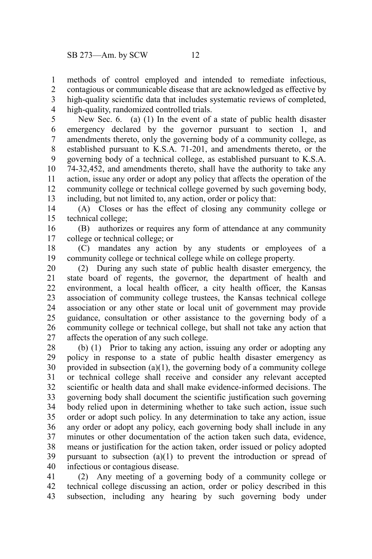methods of control employed and intended to remediate infectious, contagious or communicable disease that are acknowledged as effective by high-quality scientific data that includes systematic reviews of completed, high-quality, randomized controlled trials. 1 2 3 4

New Sec. 6. (a) (1) In the event of a state of public health disaster emergency declared by the governor pursuant to section 1, and amendments thereto, only the governing body of a community college, as established pursuant to K.S.A. 71-201, and amendments thereto, or the governing body of a technical college, as established pursuant to K.S.A. 74-32,452, and amendments thereto, shall have the authority to take any action, issue any order or adopt any policy that affects the operation of the community college or technical college governed by such governing body, including, but not limited to, any action, order or policy that: 5 6 7 8 9 10 11 12 13

(A) Closes or has the effect of closing any community college or technical college; 14 15

(B) authorizes or requires any form of attendance at any community college or technical college; or 16 17

(C) mandates any action by any students or employees of a community college or technical college while on college property. 18 19

(2) During any such state of public health disaster emergency, the state board of regents, the governor, the department of health and environment, a local health officer, a city health officer, the Kansas association of community college trustees, the Kansas technical college association or any other state or local unit of government may provide guidance, consultation or other assistance to the governing body of a community college or technical college, but shall not take any action that affects the operation of any such college. 20 21 22 23 24 25 26 27

(b) (1) Prior to taking any action, issuing any order or adopting any policy in response to a state of public health disaster emergency as provided in subsection  $(a)(1)$ , the governing body of a community college or technical college shall receive and consider any relevant accepted scientific or health data and shall make evidence-informed decisions. The governing body shall document the scientific justification such governing body relied upon in determining whether to take such action, issue such order or adopt such policy. In any determination to take any action, issue any order or adopt any policy, each governing body shall include in any minutes or other documentation of the action taken such data, evidence, means or justification for the action taken, order issued or policy adopted pursuant to subsection (a)(1) to prevent the introduction or spread of infectious or contagious disease. 28 29 30 31 32 33 34 35 36 37 38 39 40

(2) Any meeting of a governing body of a community college or technical college discussing an action, order or policy described in this subsection, including any hearing by such governing body under 41 42 43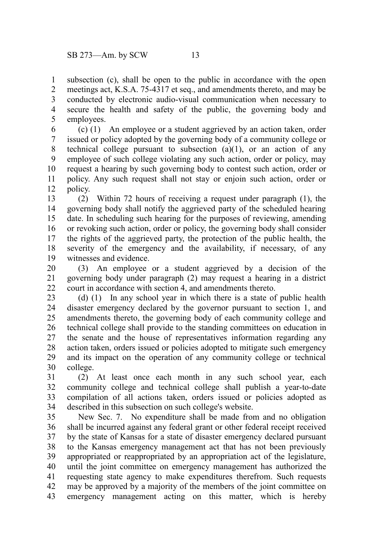subsection (c), shall be open to the public in accordance with the open meetings act, K.S.A. 75-4317 et seq., and amendments thereto, and may be conducted by electronic audio-visual communication when necessary to secure the health and safety of the public, the governing body and employees. 1 2 3 4 5

(c) (1) An employee or a student aggrieved by an action taken, order issued or policy adopted by the governing body of a community college or technical college pursuant to subsection  $(a)(1)$ , or an action of any employee of such college violating any such action, order or policy, may request a hearing by such governing body to contest such action, order or policy. Any such request shall not stay or enjoin such action, order or policy. 6 7 8 9 10 11 12

(2) Within 72 hours of receiving a request under paragraph (1), the governing body shall notify the aggrieved party of the scheduled hearing date. In scheduling such hearing for the purposes of reviewing, amending or revoking such action, order or policy, the governing body shall consider the rights of the aggrieved party, the protection of the public health, the severity of the emergency and the availability, if necessary, of any witnesses and evidence. 13 14 15 16 17 18 19

(3) An employee or a student aggrieved by a decision of the governing body under paragraph (2) may request a hearing in a district court in accordance with section 4, and amendments thereto. 20 21 22

(d) (1) In any school year in which there is a state of public health disaster emergency declared by the governor pursuant to section 1, and amendments thereto, the governing body of each community college and technical college shall provide to the standing committees on education in the senate and the house of representatives information regarding any action taken, orders issued or policies adopted to mitigate such emergency and its impact on the operation of any community college or technical college. 23 24 25 26 27 28 29 30

(2) At least once each month in any such school year, each community college and technical college shall publish a year-to-date compilation of all actions taken, orders issued or policies adopted as described in this subsection on such college's website. 31 32 33 34

New Sec. 7. No expenditure shall be made from and no obligation shall be incurred against any federal grant or other federal receipt received by the state of Kansas for a state of disaster emergency declared pursuant to the Kansas emergency management act that has not been previously appropriated or reappropriated by an appropriation act of the legislature, until the joint committee on emergency management has authorized the requesting state agency to make expenditures therefrom. Such requests may be approved by a majority of the members of the joint committee on emergency management acting on this matter, which is hereby 35 36 37 38 39 40 41 42 43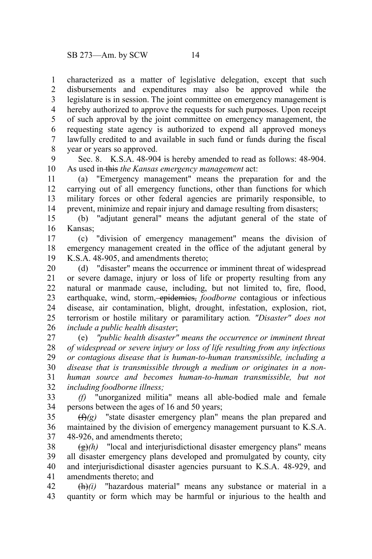characterized as a matter of legislative delegation, except that such disbursements and expenditures may also be approved while the legislature is in session. The joint committee on emergency management is hereby authorized to approve the requests for such purposes. Upon receipt of such approval by the joint committee on emergency management, the requesting state agency is authorized to expend all approved moneys lawfully credited to and available in such fund or funds during the fiscal year or years so approved. 1 2 3 4 5 6 7 8

Sec. 8. K.S.A. 48-904 is hereby amended to read as follows: 48-904. As used in this *the Kansas emergency management* act: 9 10

(a) "Emergency management" means the preparation for and the carrying out of all emergency functions, other than functions for which military forces or other federal agencies are primarily responsible, to prevent, minimize and repair injury and damage resulting from disasters; 11 12 13 14

(b) "adjutant general" means the adjutant general of the state of Kansas; 15 16

(c) "division of emergency management" means the division of emergency management created in the office of the adjutant general by K.S.A. 48-905, and amendments thereto; 17 18 19

(d) "disaster" means the occurrence or imminent threat of widespread or severe damage, injury or loss of life or property resulting from any natural or manmade cause, including, but not limited to, fire, flood, earthquake, wind, storm, *epidemics*, *foodborne* contagious or infectious disease, air contamination, blight, drought, infestation, explosion, riot, terrorism or hostile military or paramilitary action*. "Disaster" does not include a public health disaster*; 20 21 22 23 24 25 26

(e) *"public health disaster" means the occurrence or imminent threat of widespread or severe injury or loss of life resulting from any infectious or contagious disease that is human-to-human transmissible, including a disease that is transmissible through a medium or originates in a nonhuman source and becomes human-to-human transmissible, but not including foodborne illness;* 27 28 29 30 31 32

*(f)* "unorganized militia" means all able-bodied male and female persons between the ages of 16 and 50 years; 33 34

(f)*(g)* "state disaster emergency plan" means the plan prepared and maintained by the division of emergency management pursuant to K.S.A. 48-926, and amendments thereto; 35 36 37

 $\left(\frac{g}{g}\right)$  "local and interjurisdictional disaster emergency plans" means all disaster emergency plans developed and promulgated by county, city and interjurisdictional disaster agencies pursuant to K.S.A. 48-929, and amendments thereto; and 38 39 40 41

 $\frac{(\mathbf{h})}{i}$  "hazardous material" means any substance or material in a quantity or form which may be harmful or injurious to the health and 42 43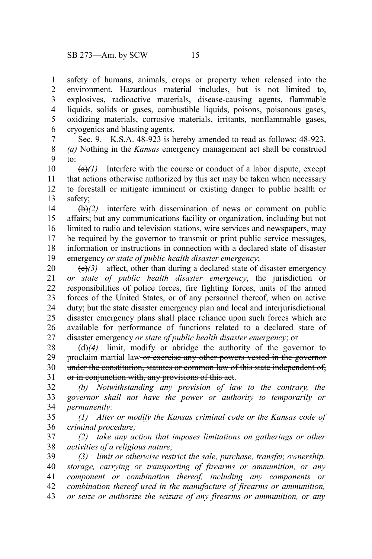safety of humans, animals, crops or property when released into the environment. Hazardous material includes, but is not limited to, explosives, radioactive materials, disease-causing agents, flammable liquids, solids or gases, combustible liquids, poisons, poisonous gases, oxidizing materials, corrosive materials, irritants, nonflammable gases, cryogenics and blasting agents. 1 2 3 4 5 6

Sec. 9. K.S.A. 48-923 is hereby amended to read as follows: 48-923. *(a)* Nothing in the *Kansas* emergency management act shall be construed to: 7 8 9

 $(a)$  Interfere with the course or conduct of a labor dispute, except that actions otherwise authorized by this act may be taken when necessary to forestall or mitigate imminent or existing danger to public health or safety; 10 11 12 13

(b)*(2)* interfere with dissemination of news or comment on public affairs; but any communications facility or organization, including but not limited to radio and television stations, wire services and newspapers, may be required by the governor to transmit or print public service messages, information or instructions in connection with a declared state of disaster emergency *or state of public health disaster emergency*; 14 15 16 17 18 19

 $(e)(3)$  affect, other than during a declared state of disaster emergency *or state of public health disaster emergency*, the jurisdiction or responsibilities of police forces, fire fighting forces, units of the armed forces of the United States, or of any personnel thereof, when on active duty; but the state disaster emergency plan and local and interjurisdictional disaster emergency plans shall place reliance upon such forces which are available for performance of functions related to a declared state of disaster emergency *or state of public health disaster emergency*; or 20 21 22 23 24 25 26 27

(d)*(4)* limit, modify or abridge the authority of the governor to proclaim martial law or exercise any other powers vested in the governor under the constitution, statutes or common law of this state independent of, or in conjunction with, any provisions of this act. 28 29 30 31

*(b) Notwithstanding any provision of law to the contrary, the governor shall not have the power or authority to temporarily or permanently:* 32 33 34

*(1) Alter or modify the Kansas criminal code or the Kansas code of criminal procedure;* 35 36

*(2) take any action that imposes limitations on gatherings or other activities of a religious nature;* 37 38

*(3) limit or otherwise restrict the sale, purchase, transfer, ownership, storage, carrying or transporting of firearms or ammunition, or any component or combination thereof, including any components or combination thereof used in the manufacture of firearms or ammunition, or seize or authorize the seizure of any firearms or ammunition, or any* 39 40 41 42 43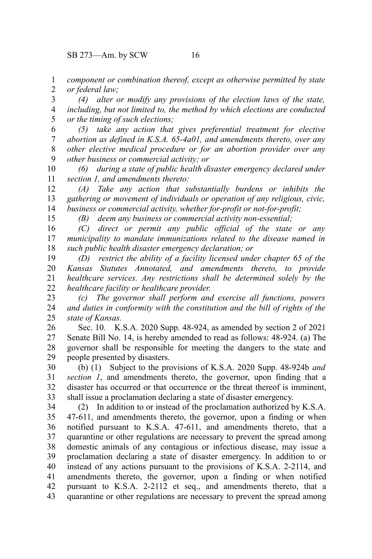SB 273—Am. by SCW 16

15

*component or combination thereof, except as otherwise permitted by state or federal law;* 1 2

*(4) alter or modify any provisions of the election laws of the state, including, but not limited to, the method by which elections are conducted or the timing of such elections;* 3 4 5

*(5) take any action that gives preferential treatment for elective abortion as defined in K.S.A. 65-4a01, and amendments thereto, over any other elective medical procedure or for an abortion provider over any other business or commercial activity; or* 6 7 8 9

*(6) during a state of public health disaster emergency declared under section 1, and amendments thereto:* 10 11

*(A) Take any action that substantially burdens or inhibits the gathering or movement of individuals or operation of any religious, civic, business or commercial activity, whether for-profit or not-for-profit;* 12 13 14

*(B) deem any business or commercial activity non-essential;*

*(C) direct or permit any public official of the state or any municipality to mandate immunizations related to the disease named in such public health disaster emergency declaration; or* 16 17 18

*(D) restrict the ability of a facility licensed under chapter 65 of the Kansas Statutes Annotated, and amendments thereto, to provide healthcare services. Any restrictions shall be determined solely by the healthcare facility or healthcare provider.* 19 20 21 22

*(c) The governor shall perform and exercise all functions, powers and duties in conformity with the constitution and the bill of rights of the state of Kansas.* 23 24 25

Sec. 10. K.S.A. 2020 Supp. 48-924, as amended by section 2 of 2021 Senate Bill No. 14, is hereby amended to read as follows: 48-924. (a) The governor shall be responsible for meeting the dangers to the state and people presented by disasters. 26 27 28 29

(b) (1) Subject to the provisions of K.S.A. 2020 Supp. 48-924b *and section 1*, and amendments thereto, the governor, upon finding that a disaster has occurred or that occurrence or the threat thereof is imminent, shall issue a proclamation declaring a state of disaster emergency. 30 31 32 33

(2) In addition to or instead of the proclamation authorized by K.S.A. 47-611, and amendments thereto, the governor, upon a finding or when notified pursuant to K.S.A. 47-611, and amendments thereto, that a quarantine or other regulations are necessary to prevent the spread among domestic animals of any contagious or infectious disease, may issue a proclamation declaring a state of disaster emergency. In addition to or instead of any actions pursuant to the provisions of K.S.A. 2-2114, and amendments thereto, the governor, upon a finding or when notified pursuant to K.S.A. 2-2112 et seq., and amendments thereto, that a quarantine or other regulations are necessary to prevent the spread among 34 35 36 37 38 39 40 41 42 43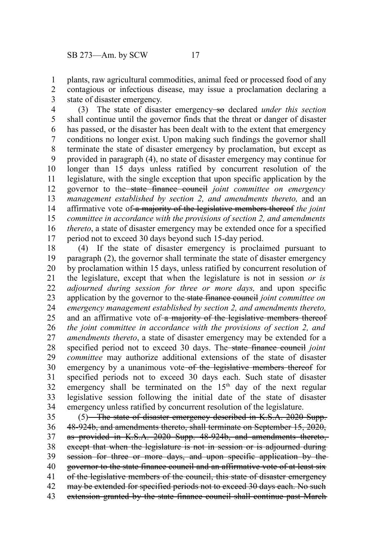plants, raw agricultural commodities, animal feed or processed food of any contagious or infectious disease, may issue a proclamation declaring a state of disaster emergency. 1 2 3

(3) The state of disaster emergency so declared *under this section* shall continue until the governor finds that the threat or danger of disaster has passed, or the disaster has been dealt with to the extent that emergency conditions no longer exist. Upon making such findings the governor shall terminate the state of disaster emergency by proclamation, but except as provided in paragraph (4), no state of disaster emergency may continue for longer than 15 days unless ratified by concurrent resolution of the legislature, with the single exception that upon specific application by the governor to the state finance council *joint committee on emergency management established by section 2, and amendments thereto,* and an affirmative vote of a majority of the legislative members thereof *the joint committee in accordance with the provisions of section 2, and amendments thereto*, a state of disaster emergency may be extended once for a specified period not to exceed 30 days beyond such 15-day period. 4 5 6 7 8 9 10 11 12 13 14 15 16 17

(4) If the state of disaster emergency is proclaimed pursuant to paragraph (2), the governor shall terminate the state of disaster emergency by proclamation within 15 days, unless ratified by concurrent resolution of the legislature, except that when the legislature is not in session *or is adjourned during session for three or more days,* and upon specific application by the governor to the state finance council *joint committee on emergency management established by section 2, and amendments thereto,* and an affirmative vote of a majority of the legislative members thereof *the joint committee in accordance with the provisions of section 2, and amendments thereto*, a state of disaster emergency may be extended for a specified period not to exceed 30 days. The state finance council *joint committee* may authorize additional extensions of the state of disaster emergency by a unanimous vote of the legislative members thereof for specified periods not to exceed 30 days each. Such state of disaster emergency shall be terminated on the  $15<sup>th</sup>$  day of the next regular legislative session following the initial date of the state of disaster emergency unless ratified by concurrent resolution of the legislature. 18 19 20 21 22 23 24 25 26 27 28 29 30 31 32 33 34

(5) The state of disaster emergency described in K.S.A. 2020 Supp. 48-924b, and amendments thereto, shall terminate on September 15, 2020, as provided in K.S.A. 2020 Supp. 48-924b, and amendments thereto, except that when the legislature is not in session or is adjourned duringsession for three or more days, and upon specific application by the governor to the state finance council and an affirmative vote of at least six of the legislative members of the council, this state of disaster emergency may be extended for specified periods not to exceed 30 days each. No such extension granted by the state finance council shall continue past March 35 36 37 38 39 40 41 42 43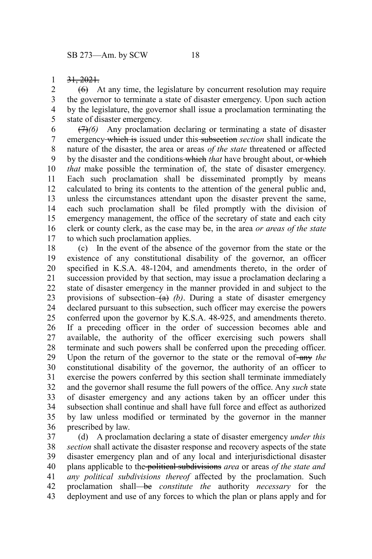## 31, 2021. 1

 $(6)$  At any time, the legislature by concurrent resolution may require the governor to terminate a state of disaster emergency. Upon such action by the legislature, the governor shall issue a proclamation terminating the state of disaster emergency. 2 3 4 5

(7)*(6)* Any proclamation declaring or terminating a state of disaster emergency which is issued under this subsection *section* shall indicate the nature of the disaster, the area or areas *of the state* threatened or affected by the disaster and the conditions which *that* have brought about, or which *that* make possible the termination of, the state of disaster emergency. Each such proclamation shall be disseminated promptly by means calculated to bring its contents to the attention of the general public and, unless the circumstances attendant upon the disaster prevent the same, each such proclamation shall be filed promptly with the division of emergency management, the office of the secretary of state and each city clerk or county clerk, as the case may be, in the area *or areas of the state* to which such proclamation applies. 6 7 8 9 10 11 12 13 14 15 16 17

(c) In the event of the absence of the governor from the state or the existence of any constitutional disability of the governor, an officer specified in K.S.A. 48-1204, and amendments thereto, in the order of succession provided by that section, may issue a proclamation declaring a state of disaster emergency in the manner provided in and subject to the provisions of subsection  $(a)$  (b). During a state of disaster emergency declared pursuant to this subsection, such officer may exercise the powers conferred upon the governor by K.S.A. 48-925, and amendments thereto. If a preceding officer in the order of succession becomes able and available, the authority of the officer exercising such powers shall terminate and such powers shall be conferred upon the preceding officer. Upon the return of the governor to the state or the removal of-any the constitutional disability of the governor, the authority of an officer to exercise the powers conferred by this section shall terminate immediately and the governor shall resume the full powers of the office. Any *such* state of disaster emergency and any actions taken by an officer under this subsection shall continue and shall have full force and effect as authorized by law unless modified or terminated by the governor in the manner prescribed by law. 18 19 20 21 22 23 24 25 26 27 28 29 30 31 32 33 34 35 36

(d) A proclamation declaring a state of disaster emergency *under this section* shall activate the disaster response and recovery aspects of the state disaster emergency plan and of any local and interjurisdictional disaster plans applicable to the political subdivisions *area* or areas *of the state and any political subdivisions thereof* affected by the proclamation. Such proclamation shall be *constitute the* authority *necessary* for the deployment and use of any forces to which the plan or plans apply and for 37 38 39 40 41 42 43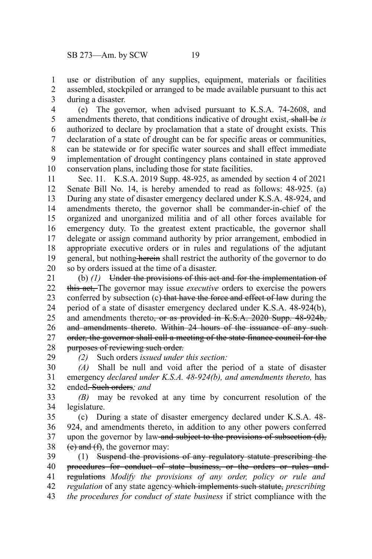use or distribution of any supplies, equipment, materials or facilities assembled, stockpiled or arranged to be made available pursuant to this act during a disaster. 1 2 3

(e) The governor, when advised pursuant to K.S.A. 74-2608, and amendments thereto, that conditions indicative of drought exist, shall be *is* authorized to declare by proclamation that a state of drought exists. This declaration of a state of drought can be for specific areas or communities, can be statewide or for specific water sources and shall effect immediate implementation of drought contingency plans contained in state approved conservation plans, including those for state facilities. 4 5 6 7 8 9 10

Sec. 11. K.S.A. 2019 Supp. 48-925, as amended by section 4 of 2021 Senate Bill No. 14, is hereby amended to read as follows: 48-925. (a) During any state of disaster emergency declared under K.S.A. 48-924, and amendments thereto, the governor shall be commander-in-chief of the organized and unorganized militia and of all other forces available for emergency duty. To the greatest extent practicable, the governor shall delegate or assign command authority by prior arrangement, embodied in appropriate executive orders or in rules and regulations of the adjutant general, but nothing herein shall restrict the authority of the governor to do so by orders issued at the time of a disaster. 11 12 13 14 15 16 17 18 19 20

(b) *(1)* Under the provisions of this act and for the implementation of this act, The governor may issue *executive* orders to exercise the powers conferred by subsection (c) that have the force and effect of law during the period of a state of disaster emergency declared under K.S.A. 48-924(b), and amendments thereto<del>, or as provided in K.S.A. 2020 Supp. 48-924b,</del> and amendments thereto. Within 24 hours of the issuance of any suchorder, the governor shall call a meeting of the state finance council for the purposes of reviewing such order. 21 22 23 24 25 26 27 28

*(2)* Such orders *issued under this section:*

29

*(A)* Shall be null and void after the period of a state of disaster emergency *declared under K.S.A. 48-924(b), and amendments thereto,* has ended. Such orders*; and* 30 31 32

*(B)* may be revoked at any time by concurrent resolution of the legislature. 33 34

(c) During a state of disaster emergency declared under K.S.A. 48- 924, and amendments thereto, in addition to any other powers conferred upon the governor by law and subject to the provisions of subsection (d),  $(e)$  and  $(f)$ , the governor may: 35 36 37 38

(1) Suspend the provisions of any regulatory statute prescribing the procedures for conduct of state business, or the orders or rules and regulations *Modify the provisions of any order, policy or rule and regulation* of any state agency which implements such statute, *prescribing the procedures for conduct of state business* if strict compliance with the 39 40 41 42 43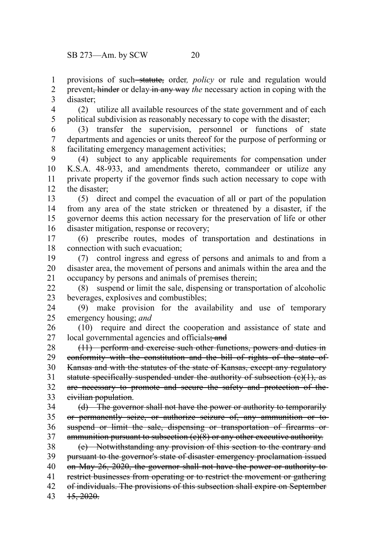provisions of such statute, order, *policy* or rule and regulation would prevent, hinder or delay in any way *the* necessary action in coping with the disaster; 1 2 3

(2) utilize all available resources of the state government and of each political subdivision as reasonably necessary to cope with the disaster; 4 5

(3) transfer the supervision, personnel or functions of state departments and agencies or units thereof for the purpose of performing or facilitating emergency management activities; 6 7 8

(4) subject to any applicable requirements for compensation under K.S.A. 48-933, and amendments thereto, commandeer or utilize any private property if the governor finds such action necessary to cope with the disaster; 9 10 11 12

(5) direct and compel the evacuation of all or part of the population from any area of the state stricken or threatened by a disaster, if the governor deems this action necessary for the preservation of life or other disaster mitigation, response or recovery; 13 14 15 16

(6) prescribe routes, modes of transportation and destinations in connection with such evacuation; 17 18

(7) control ingress and egress of persons and animals to and from a disaster area, the movement of persons and animals within the area and the occupancy by persons and animals of premises therein; 19 20 21

(8) suspend or limit the sale, dispensing or transportation of alcoholic beverages, explosives and combustibles;  $22$ 23

(9) make provision for the availability and use of temporary emergency housing; *and* 24 25

(10) require and direct the cooperation and assistance of state and local governmental agencies and officials; and 26 27

(11) perform and exercise such other functions, powers and duties in conformity with the constitution and the bill of rights of the state of-Kansas and with the statutes of the state of Kansas, except any regulatory statute specifically suspended under the authority of subsection (e)(1), as are necessary to promote and secure the safety and protection of the civilian population. 28 29 30 31 32 33

(d) The governor shall not have the power or authority to temporarily or permanently seize, or authorize seizure of, any ammunition or to suspend or limit the sale, dispensing or transportation of firearms orammunition pursuant to subsection (e)(8) or any other executive authority. 34 35 36 37

(e) Notwithstanding any provision of this section to the contrary and pursuant to the governor's state of disaster emergency proclamation issued on May 26, 2020, the governor shall not have the power or authority to restrict businesses from operating or to restrict the movement or gathering of individuals. The provisions of this subsection shall expire on September 15, 2020. 38 39 40 41 42 43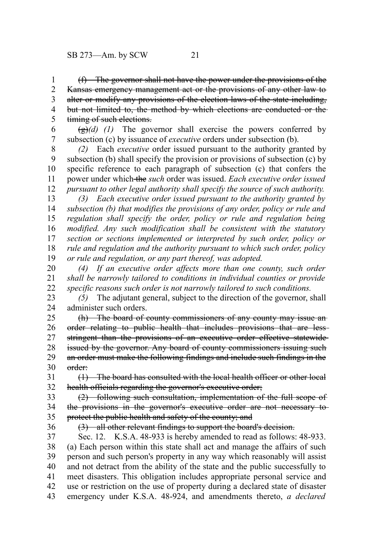(f) The governor shall not have the power under the provisions of the Kansas emergency management act or the provisions of any other law to alter or modify any provisions of the election laws of the state including, but not limited to, the method by which elections are conducted or the timing of such elections. 1 2 3 4 5

 $\left(\frac{g}{g}\right)(d)$  (1) The governor shall exercise the powers conferred by subsection (c) by issuance of *executive* orders under subsection (b). 6 7

*(2)* Each *executive* order issued pursuant to the authority granted by subsection (b) shall specify the provision or provisions of subsection (c) by specific reference to each paragraph of subsection (c) that confers the power under which the *such* order was issued. *Each executive order issued pursuant to other legal authority shall specify the source of such authority.* 8 9 10 11 12

*(3) Each executive order issued pursuant to the authority granted by subsection (b) that modifies the provisions of any order, policy or rule and regulation shall specify the order, policy or rule and regulation being modified. Any such modification shall be consistent with the statutory section or sections implemented or interpreted by such order, policy or rule and regulation and the authority pursuant to which such order, policy or rule and regulation, or any part thereof, was adopted.* 13 14 15 16 17 18 19

*(4) If an executive order affects more than one county, such order shall be narrowly tailored to conditions in individual counties or provide specific reasons such order is not narrowly tailored to such conditions.* 20 21 22

*(5)* The adjutant general, subject to the direction of the governor, shall administer such orders. 23 24

(h) The board of county commissioners of any county may issue an order relating to public health that includes provisions that are less stringent than the provisions of an executive order effective statewide issued by the governor. Any board of county commissioners issuing such an order must make the following findings and include such findings in the order: 25 26 27 28 29 30

(1) The board has consulted with the local health officer or other local health officials regarding the governor's executive order; 31 32

(2) following such consultation, implementation of the full scope of the provisions in the governor's executive order are not necessary to protect the public health and safety of the county; and 33 34 35

36

(3) all other relevant findings to support the board's decision.

Sec. 12. K.S.A. 48-933 is hereby amended to read as follows: 48-933. (a) Each person within this state shall act and manage the affairs of such person and such person's property in any way which reasonably will assist and not detract from the ability of the state and the public successfully to meet disasters. This obligation includes appropriate personal service and use or restriction on the use of property during a declared state of disaster emergency under K.S.A. 48-924, and amendments thereto, *a declared* 37 38 39 40 41 42 43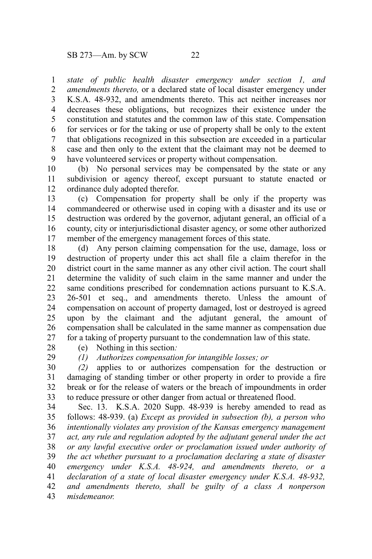*state of public health disaster emergency under section 1, and amendments thereto,* or a declared state of local disaster emergency under K.S.A. 48-932, and amendments thereto. This act neither increases nor decreases these obligations, but recognizes their existence under the constitution and statutes and the common law of this state. Compensation for services or for the taking or use of property shall be only to the extent that obligations recognized in this subsection are exceeded in a particular case and then only to the extent that the claimant may not be deemed to have volunteered services or property without compensation. 1 2 3 4 5 6 7 8 9

(b) No personal services may be compensated by the state or any subdivision or agency thereof, except pursuant to statute enacted or ordinance duly adopted therefor. 10 11 12

(c) Compensation for property shall be only if the property was commandeered or otherwise used in coping with a disaster and its use or destruction was ordered by the governor, adjutant general, an official of a county, city or interjurisdictional disaster agency, or some other authorized member of the emergency management forces of this state. 13 14 15 16 17

(d) Any person claiming compensation for the use, damage, loss or destruction of property under this act shall file a claim therefor in the district court in the same manner as any other civil action. The court shall determine the validity of such claim in the same manner and under the same conditions prescribed for condemnation actions pursuant to K.S.A. 26-501 et seq., and amendments thereto. Unless the amount of compensation on account of property damaged, lost or destroyed is agreed upon by the claimant and the adjutant general, the amount of compensation shall be calculated in the same manner as compensation due for a taking of property pursuant to the condemnation law of this state. 18 19 20 21 22 23 24 25 26 27

28 29 (e) Nothing in this section*:*

*(1) Authorizes compensation for intangible losses; or*

*(2)* applies to or authorizes compensation for the destruction or damaging of standing timber or other property in order to provide a fire break or for the release of waters or the breach of impoundments in order to reduce pressure or other danger from actual or threatened flood. 30 31 32 33

Sec. 13. K.S.A. 2020 Supp. 48-939 is hereby amended to read as follows: 48-939. (a) *Except as provided in subsection (b), a person who intentionally violates any provision of the Kansas emergency management act, any rule and regulation adopted by the adjutant general under the act or any lawful executive order or proclamation issued under authority of the act whether pursuant to a proclamation declaring a state of disaster emergency under K.S.A. 48-924, and amendments thereto, or a declaration of a state of local disaster emergency under K.S.A. 48-932, and amendments thereto, shall be guilty of a class A nonperson misdemeanor.* 34 35 36 37 38 39 40 41 42 43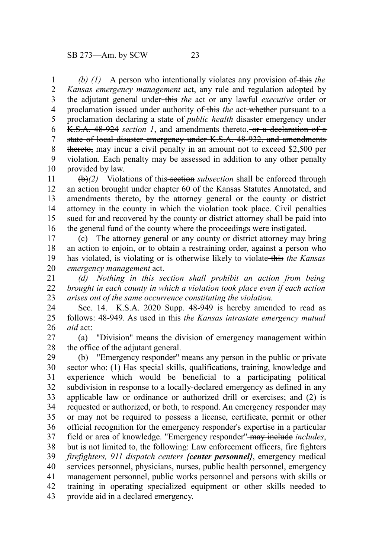*(b) (1)* A person who intentionally violates any provision of this the *Kansas emergency management* act, any rule and regulation adopted by the adjutant general under this *the* act or any lawful *executive* order or proclamation issued under authority of this *the* act-whether pursuant to a proclamation declaring a state of *public health* disaster emergency under K.S.A. 48-924 *section 1*, and amendments thereto, or a declaration of a state of local disaster emergency under K.S.A. 48-932, and amendments thereto, may incur a civil penalty in an amount not to exceed \$2,500 per violation. Each penalty may be assessed in addition to any other penalty provided by law. 1 2 3 4 5 6 7 8 9 10

(b)*(2)* Violations of this section *subsection* shall be enforced through an action brought under chapter 60 of the Kansas Statutes Annotated, and amendments thereto, by the attorney general or the county or district attorney in the county in which the violation took place. Civil penalties sued for and recovered by the county or district attorney shall be paid into the general fund of the county where the proceedings were instigated. 11 12 13 14 15 16

(c) The attorney general or any county or district attorney may bring an action to enjoin, or to obtain a restraining order, against a person who has violated, is violating or is otherwise likely to violate this *the Kansas emergency management* act. 17 18 19 20

*(d) Nothing in this section shall prohibit an action from being brought in each county in which a violation took place even if each action arises out of the same occurrence constituting the violation.* 21 22 23

Sec. 14. K.S.A. 2020 Supp. 48-949 is hereby amended to read as follows: 48-949. As used in this *the Kansas intrastate emergency mutual aid* act: 24 25 26

(a) "Division" means the division of emergency management within the office of the adjutant general. 27 28

(b) "Emergency responder" means any person in the public or private sector who: (1) Has special skills, qualifications, training, knowledge and experience which would be beneficial to a participating political subdivision in response to a locally-declared emergency as defined in any applicable law or ordinance or authorized drill or exercises; and (2) is requested or authorized, or both, to respond. An emergency responder may or may not be required to possess a license, certificate, permit or other official recognition for the emergency responder's expertise in a particular field or area of knowledge. "Emergency responder"-may include *includes*, but is not limited to, the following: Law enforcement officers, fire fighters *firefighters, 911 dispatch centers {center personnel}*, emergency medical services personnel, physicians, nurses, public health personnel, emergency management personnel, public works personnel and persons with skills or training in operating specialized equipment or other skills needed to provide aid in a declared emergency. 29 30 31 32 33 34 35 36 37 38 39 40 41 42 43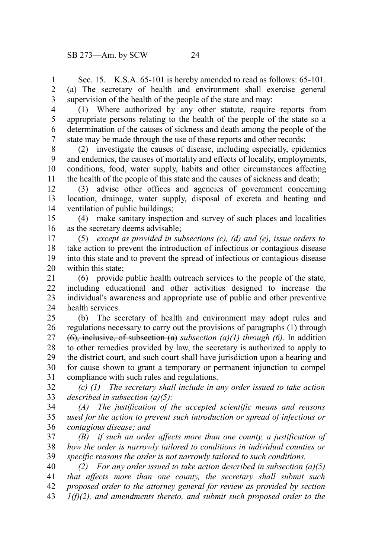Sec. 15. K.S.A. 65-101 is hereby amended to read as follows: 65-101. (a) The secretary of health and environment shall exercise general supervision of the health of the people of the state and may: 1 2 3

4

(1) Where authorized by any other statute, require reports from appropriate persons relating to the health of the people of the state so a determination of the causes of sickness and death among the people of the state may be made through the use of these reports and other records; 5 6 7

(2) investigate the causes of disease, including especially, epidemics and endemics, the causes of mortality and effects of locality, employments, conditions, food, water supply, habits and other circumstances affecting the health of the people of this state and the causes of sickness and death; 8 9 10 11

(3) advise other offices and agencies of government concerning location, drainage, water supply, disposal of excreta and heating and ventilation of public buildings; 12 13 14

(4) make sanitary inspection and survey of such places and localities as the secretary deems advisable; 15 16

(5) *except as provided in subsections (c), (d) and (e), issue orders to* take action to prevent the introduction of infectious or contagious disease into this state and to prevent the spread of infectious or contagious disease within this state; 17 18 19 20

(6) provide public health outreach services to the people of the state*,* including educational and other activities designed to increase the individual's awareness and appropriate use of public and other preventive health services. 21 22 23 24

(b) The secretary of health and environment may adopt rules and regulations necessary to carry out the provisions of paragraphs (1) through (6), inclusive, of subsection (a) *subsection (a)(1) through (6)*. In addition to other remedies provided by law, the secretary is authorized to apply to the district court, and such court shall have jurisdiction upon a hearing and for cause shown to grant a temporary or permanent injunction to compel compliance with such rules and regulations. 25 26 27 28 29 30 31

*(c) (1) The secretary shall include in any order issued to take action described in subsection (a)(5):* 32 33

*(A) The justification of the accepted scientific means and reasons used for the action to prevent such introduction or spread of infectious or contagious disease; and* 34 35 36

*(B) if such an order affects more than one county, a justification of how the order is narrowly tailored to conditions in individual counties or specific reasons the order is not narrowly tailored to such conditions.* 37 38 39

*(2) For any order issued to take action described in subsection (a)(5) that affects more than one county, the secretary shall submit such proposed order to the attorney general for review as provided by section 1(f)(2), and amendments thereto, and submit such proposed order to the* 40 41 42 43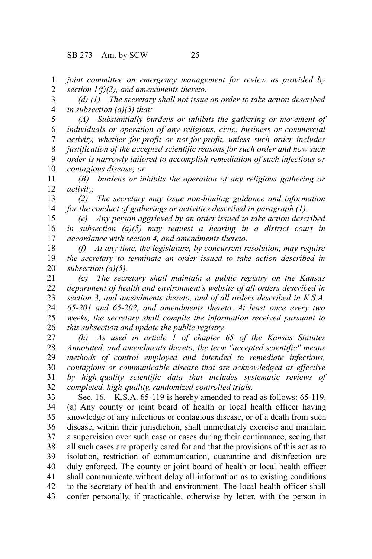*joint committee on emergency management for review as provided by section 1(f)(3), and amendments thereto.* 1 2

*(d) (1) The secretary shall not issue an order to take action described in subsection (a)(5) that:* 3 4

*(A) Substantially burdens or inhibits the gathering or movement of individuals or operation of any religious, civic, business or commercial activity, whether for-profit or not-for-profit, unless such order includes justification of the accepted scientific reasons for such order and how such order is narrowly tailored to accomplish remediation of such infectious or contagious disease; or* 5 6 7 8 9 10

*(B) burdens or inhibits the operation of any religious gathering or activity.* 11 12

*(2) The secretary may issue non-binding guidance and information for the conduct of gatherings or activities described in paragraph (1).* 13 14

*(e) Any person aggrieved by an order issued to take action described in subsection (a)(5) may request a hearing in a district court in accordance with section 4, and amendments thereto.* 15 16 17

*(f) At any time, the legislature, by concurrent resolution, may require the secretary to terminate an order issued to take action described in subsection (a)(5).* 18 19 20

*(g) The secretary shall maintain a public registry on the Kansas department of health and environment's website of all orders described in section 3, and amendments thereto, and of all orders described in K.S.A. 65-201 and 65-202, and amendments thereto. At least once every two weeks, the secretary shall compile the information received pursuant to this subsection and update the public registry.* 21 22 23 24 25 26

*(h) As used in article 1 of chapter 65 of the Kansas Statutes Annotated, and amendments thereto, the term "accepted scientific" means methods of control employed and intended to remediate infectious, contagious or communicable disease that are acknowledged as effective by high-quality scientific data that includes systematic reviews of completed, high-quality, randomized controlled trials.* 27 28 29 30 31 32

Sec. 16. K.S.A. 65-119 is hereby amended to read as follows: 65-119. (a) Any county or joint board of health or local health officer having knowledge of any infectious or contagious disease, or of a death from such disease, within their jurisdiction, shall immediately exercise and maintain a supervision over such case or cases during their continuance, seeing that all such cases are properly cared for and that the provisions of this act as to isolation, restriction of communication, quarantine and disinfection are duly enforced. The county or joint board of health or local health officer shall communicate without delay all information as to existing conditions to the secretary of health and environment. The local health officer shall confer personally, if practicable, otherwise by letter, with the person in 33 34 35 36 37 38 39 40 41 42 43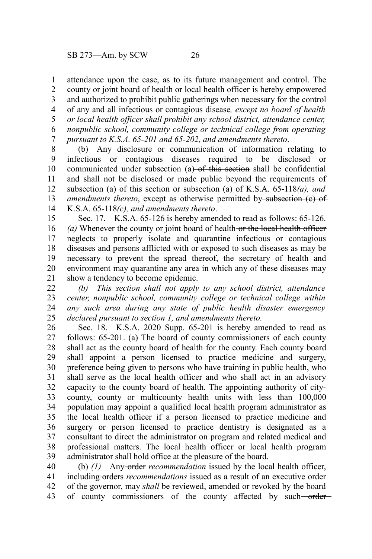attendance upon the case, as to its future management and control. The county or joint board of health-or local health officer is hereby empowered and authorized to prohibit public gatherings when necessary for the control of any and all infectious or contagious disease*, except no board of health or local health officer shall prohibit any school district, attendance center, nonpublic school, community college or technical college from operating pursuant to K.S.A. 65-201 and 65-202, and amendments thereto*. 1 2 3 4 5 6 7

(b) Any disclosure or communication of information relating to infectious or contagious diseases required to be disclosed or communicated under subsection  $(a)$  of this section shall be confidential and shall not be disclosed or made public beyond the requirements of subsection (a) of this section or subsection (a) of K.S.A. 65-118*(a)*, and *amendments thereto*, except as otherwise permitted by-subsection (c) of K.S.A. 65-118*(c), and amendments thereto*. 8 9 10 11 12 13 14

Sec. 17. K.S.A. 65-126 is hereby amended to read as follows: 65-126. *(a)* Whenever the county or joint board of health or the local health officer neglects to properly isolate and quarantine infectious or contagious diseases and persons afflicted with or exposed to such diseases as may be necessary to prevent the spread thereof, the secretary of health and environment may quarantine any area in which any of these diseases may show a tendency to become epidemic. 15 16 17 18 19 20 21

*(b) This section shall not apply to any school district, attendance center, nonpublic school, community college or technical college within any such area during any state of public health disaster emergency declared pursuant to section 1, and amendments thereto.* 22 23 24 25

Sec. 18. K.S.A. 2020 Supp. 65-201 is hereby amended to read as follows: 65-201. (a) The board of county commissioners of each county shall act as the county board of health for the county. Each county board shall appoint a person licensed to practice medicine and surgery, preference being given to persons who have training in public health, who shall serve as the local health officer and who shall act in an advisory capacity to the county board of health. The appointing authority of citycounty, county or multicounty health units with less than 100,000 population may appoint a qualified local health program administrator as the local health officer if a person licensed to practice medicine and surgery or person licensed to practice dentistry is designated as a consultant to direct the administrator on program and related medical and professional matters. The local health officer or local health program administrator shall hold office at the pleasure of the board. 26 27 28 29 30 31 32 33 34 35 36 37 38 39

(b) *(1)* Any order *recommendation* issued by the local health officer, including orders *recommendations* issued as a result of an executive order of the governor, may *shall* be reviewed, amended or revoked by the board of county commissioners of the county affected by such-order-40 41 42 43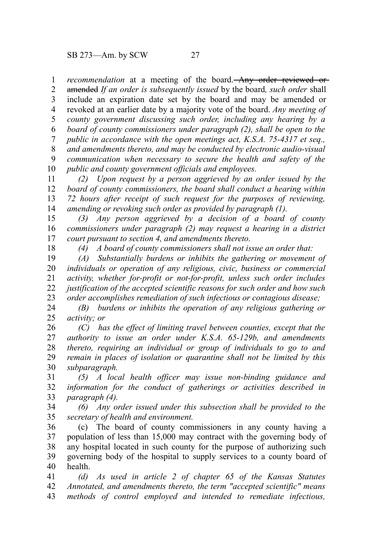*recommendation* at a meeting of the board. Any order reviewed or amended *If an order is subsequently issued* by the board*, such order* shall include an expiration date set by the board and may be amended or revoked at an earlier date by a majority vote of the board. *Any meeting of county government discussing such order, including any hearing by a board of county commissioners under paragraph (2), shall be open to the public in accordance with the open meetings act, K.S.A. 75-4317 et seq., and amendments thereto, and may be conducted by electronic audio-visual communication when necessary to secure the health and safety of the public and county government officials and employees.* 1 2 3 4 5 6 7 8 9 10

*(2) Upon request by a person aggrieved by an order issued by the board of county commissioners, the board shall conduct a hearing within 72 hours after receipt of such request for the purposes of reviewing, amending or revoking such order as provided by paragraph (1).* 11 12 13 14

*(3) Any person aggrieved by a decision of a board of county commissioners under paragraph (2) may request a hearing in a district court pursuant to section 4, and amendments thereto.* 15 16 17

18

*(4) A board of county commissioners shall not issue an order that:*

*(A) Substantially burdens or inhibits the gathering or movement of individuals or operation of any religious, civic, business or commercial activity, whether for-profit or not-for-profit, unless such order includes justification of the accepted scientific reasons for such order and how such order accomplishes remediation of such infectious or contagious disease;* 19 20 21 22 23

*(B) burdens or inhibits the operation of any religious gathering or activity; or* 24 25

*(C) has the effect of limiting travel between counties, except that the authority to issue an order under K.S.A. 65-129b, and amendments thereto, requiring an individual or group of individuals to go to and remain in places of isolation or quarantine shall not be limited by this subparagraph.* 26 27 28 29 30

*(5) A local health officer may issue non-binding guidance and information for the conduct of gatherings or activities described in paragraph (4).* 31 32 33

*(6) Any order issued under this subsection shall be provided to the secretary of health and environment.* 34 35

(c) The board of county commissioners in any county having a population of less than 15,000 may contract with the governing body of any hospital located in such county for the purpose of authorizing such governing body of the hospital to supply services to a county board of health. 36 37 38 39 40

*(d) As used in article 2 of chapter 65 of the Kansas Statutes Annotated, and amendments thereto, the term "accepted scientific" means methods of control employed and intended to remediate infectious,* 41 42 43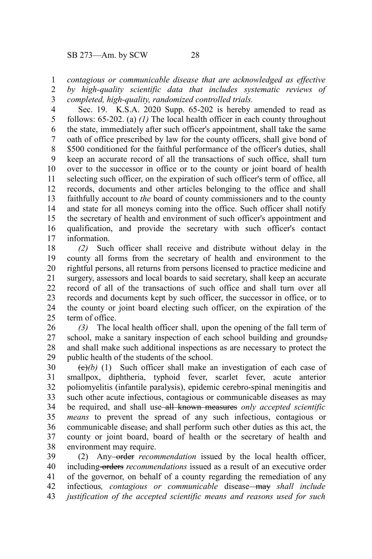SB 273—Am. by SCW 28

*contagious or communicable disease that are acknowledged as effective* 1

*by high-quality scientific data that includes systematic reviews of completed, high-quality, randomized controlled trials.* 2 3

Sec. 19. K.S.A. 2020 Supp. 65-202 is hereby amended to read as follows: 65-202. (a) *(1)* The local health officer in each county throughout the state, immediately after such officer's appointment, shall take the same oath of office prescribed by law for the county officers, shall give bond of \$500 conditioned for the faithful performance of the officer's duties, shall keep an accurate record of all the transactions of such office, shall turn over to the successor in office or to the county or joint board of health selecting such officer, on the expiration of such officer's term of office, all records, documents and other articles belonging to the office and shall faithfully account to *the* board of county commissioners and to the county and state for all moneys coming into the office. Such officer shall notify the secretary of health and environment of such officer's appointment and qualification, and provide the secretary with such officer's contact information. 4 5 6 7 8 9 10 11 12 13 14 15 16 17

*(2)* Such officer shall receive and distribute without delay in the county all forms from the secretary of health and environment to the rightful persons, all returns from persons licensed to practice medicine and surgery, assessors and local boards to said secretary, shall keep an accurate record of all of the transactions of such office and shall turn over all records and documents kept by such officer, the successor in office, or to the county or joint board electing such officer, on the expiration of the term of office. 18 19 20 21 22 23 24 25

*(3)* The local health officer shall*,* upon the opening of the fall term of school, make a sanitary inspection of each school building and groundsand shall make such additional inspections as are necessary to protect the public health of the students of the school. 26 27 28 29

 $\left(\frac{e}{e}\right)$  (1) Such officer shall make an investigation of each case of smallpox, diphtheria, typhoid fever, scarlet fever, acute anterior poliomyelitis (infantile paralysis), epidemic cerebro-spinal meningitis and such other acute infectious, contagious or communicable diseases as may be required, and shall use all known measures *only accepted scientific means* to prevent the spread of any such infectious, contagious or communicable disease, and shall perform such other duties as this act, the county or joint board, board of health or the secretary of health and environment may require. 30 31 32 33 34 35 36 37 38

(2) Any order *recommendation* issued by the local health officer, including orders *recommendations* issued as a result of an executive order of the governor, on behalf of a county regarding the remediation of any infectious*, contagious or communicable* disease may *shall include justification of the accepted scientific means and reasons used for such* 39 40 41 42 43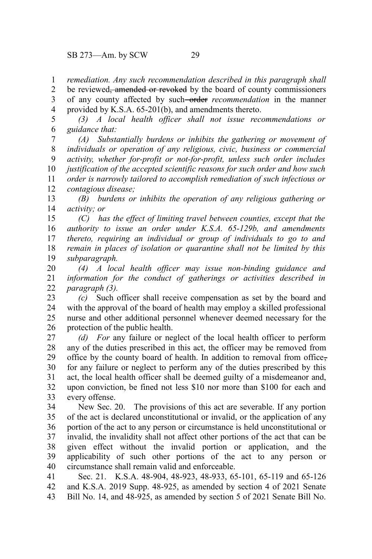*remediation. Any such recommendation described in this paragraph shall* 1

be reviewed<del>, amended or revoked</del> by the board of county commissioners 2

of any county affected by such order *recommendation* in the manner provided by K.S.A. 65-201(b), and amendments thereto. 3 4

*(3) A local health officer shall not issue recommendations or guidance that:* 5 6

*(A) Substantially burdens or inhibits the gathering or movement of individuals or operation of any religious, civic, business or commercial activity, whether for-profit or not-for-profit, unless such order includes justification of the accepted scientific reasons for such order and how such order is narrowly tailored to accomplish remediation of such infectious or contagious disease;* 7 8 9 10 11 12

*(B) burdens or inhibits the operation of any religious gathering or activity; or* 13 14

*(C) has the effect of limiting travel between counties, except that the authority to issue an order under K.S.A. 65-129b, and amendments thereto, requiring an individual or group of individuals to go to and remain in places of isolation or quarantine shall not be limited by this subparagraph.* 15 16 17 18 19

*(4) A local health officer may issue non-binding guidance and information for the conduct of gatherings or activities described in paragraph (3).* 20 21 22

*(c)* Such officer shall receive compensation as set by the board and with the approval of the board of health may employ a skilled professional nurse and other additional personnel whenever deemed necessary for the protection of the public health. 23 24 25 26

*(d) For* any failure or neglect of the local health officer to perform any of the duties prescribed in this act, the officer may be removed from office by the county board of health. In addition to removal from office, for any failure or neglect to perform any of the duties prescribed by this act, the local health officer shall be deemed guilty of a misdemeanor and, upon conviction, be fined not less \$10 nor more than \$100 for each and every offense. 27 28 29 30 31 32 33

New Sec. 20. The provisions of this act are severable. If any portion of the act is declared unconstitutional or invalid, or the application of any portion of the act to any person or circumstance is held unconstitutional or invalid, the invalidity shall not affect other portions of the act that can be given effect without the invalid portion or application, and the applicability of such other portions of the act to any person or circumstance shall remain valid and enforceable. 34 35 36 37 38 39 40

Sec. 21. K.S.A. 48-904, 48-923, 48-933, 65-101, 65-119 and 65-126 and K.S.A. 2019 Supp. 48-925, as amended by section 4 of 2021 Senate Bill No. 14, and 48-925, as amended by section 5 of 2021 Senate Bill No. 41 42 43